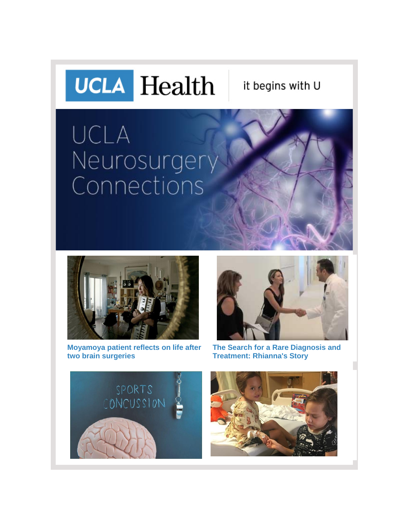# **UCLA** Health

### it begins with U

## UCLA Neurosurgery Connections



**[Moyamoya patient reflects on life after](http://r20.rs6.net/tn.jsp?f=001dL4omGLaSItp08rSNhQH2Y7RsUhpmrr5kGKC7Y2XjM_6PLcZ6O9CXeWlzj1FJKnliaUy4vk-J4vBGc6xWNP_Qn1t92vPD74wBPvA2yBeSM9wwBGTe_iYnV6WjCJRXwg_BB7SC9UT-w4wbkFzHLXpiQ1Oy6-PWrJ59yt_kdQr_g_d4afbW88FOP299R2BTaLUXXDWMQonj8OTOVM42Ox1WLsV-431-sQYJTsNggQPcu_cTtWVtFUUgVqMqgLxlG40&c=qMbpVGtYG3HF5XKGrMWfsnz7YFO04yRoBZMl5ss8e6tS57Rlw6aHzA==&ch=dZ36JH17-QhgUjQ8YgrnLmQET5K00Rscw3Qb4i-QM8JDx3eSUf1RNQ==)  [two brain surgeries](http://r20.rs6.net/tn.jsp?f=001dL4omGLaSItp08rSNhQH2Y7RsUhpmrr5kGKC7Y2XjM_6PLcZ6O9CXeWlzj1FJKnliaUy4vk-J4vBGc6xWNP_Qn1t92vPD74wBPvA2yBeSM9wwBGTe_iYnV6WjCJRXwg_BB7SC9UT-w4wbkFzHLXpiQ1Oy6-PWrJ59yt_kdQr_g_d4afbW88FOP299R2BTaLUXXDWMQonj8OTOVM42Ox1WLsV-431-sQYJTsNggQPcu_cTtWVtFUUgVqMqgLxlG40&c=qMbpVGtYG3HF5XKGrMWfsnz7YFO04yRoBZMl5ss8e6tS57Rlw6aHzA==&ch=dZ36JH17-QhgUjQ8YgrnLmQET5K00Rscw3Qb4i-QM8JDx3eSUf1RNQ==)**



**[The Search for a Rare Diagnosis and](http://r20.rs6.net/tn.jsp?f=001dL4omGLaSItp08rSNhQH2Y7RsUhpmrr5kGKC7Y2XjM_6PLcZ6O9CXeWlzj1FJKnlTuzpTILxVnnH9nUKlultSpqxSP_cNbLzy71eBwfb7ZAzQH4Wncp8hiJDJjo4zl1JLW51GHIbwWRxJ6t6-eav5U_oLqYv_2309b-2i6yfjQJPeJ_U_iWzrg8F4I28ZFK-erTtNaSDTHlDHibZqUTh0ksuwnMsB7uifYSfsa2H7Zc-CXlUtXCJWw==&c=qMbpVGtYG3HF5XKGrMWfsnz7YFO04yRoBZMl5ss8e6tS57Rlw6aHzA==&ch=dZ36JH17-QhgUjQ8YgrnLmQET5K00Rscw3Qb4i-QM8JDx3eSUf1RNQ==)  [Treatment: Rhianna's Story](http://r20.rs6.net/tn.jsp?f=001dL4omGLaSItp08rSNhQH2Y7RsUhpmrr5kGKC7Y2XjM_6PLcZ6O9CXeWlzj1FJKnlTuzpTILxVnnH9nUKlultSpqxSP_cNbLzy71eBwfb7ZAzQH4Wncp8hiJDJjo4zl1JLW51GHIbwWRxJ6t6-eav5U_oLqYv_2309b-2i6yfjQJPeJ_U_iWzrg8F4I28ZFK-erTtNaSDTHlDHibZqUTh0ksuwnMsB7uifYSfsa2H7Zc-CXlUtXCJWw==&c=qMbpVGtYG3HF5XKGrMWfsnz7YFO04yRoBZMl5ss8e6tS57Rlw6aHzA==&ch=dZ36JH17-QhgUjQ8YgrnLmQET5K00Rscw3Qb4i-QM8JDx3eSUf1RNQ==)**



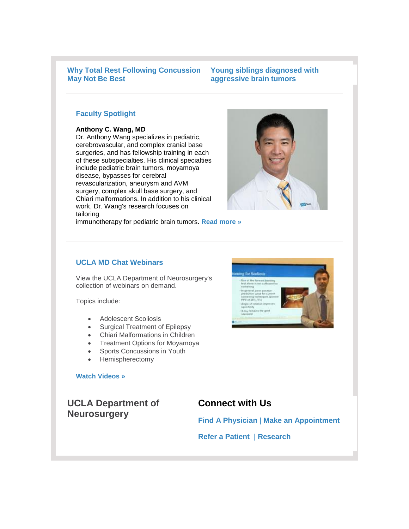**[Why Total Rest Following Concussion](http://r20.rs6.net/tn.jsp?f=001dL4omGLaSItp08rSNhQH2Y7RsUhpmrr5kGKC7Y2XjM_6PLcZ6O9CXeWlzj1FJKnlNQmklg1UY0sQ1JqRJ4Y1pWbU6e-0zezONQh8R0T1y2oP9Xs5whxAjD2rtZRBpX3EvpUwXMwDBggRO_AEppcuLQyt-DJWlnxasFpDSfB3YKy6-F_8yIKVJlLqnJi7MG4dcljERt3bMfMaL6h5seleld918e7dgP3bpLhv-m8tQf_vnmFA8-jMzyJk1XufOTaCdic6Vn5zU29o7o3GYIoOiAtIpHah0nqniKXq02p4HCA=&c=qMbpVGtYG3HF5XKGrMWfsnz7YFO04yRoBZMl5ss8e6tS57Rlw6aHzA==&ch=dZ36JH17-QhgUjQ8YgrnLmQET5K00Rscw3Qb4i-QM8JDx3eSUf1RNQ==) [May Not Be Best](http://r20.rs6.net/tn.jsp?f=001dL4omGLaSItp08rSNhQH2Y7RsUhpmrr5kGKC7Y2XjM_6PLcZ6O9CXeWlzj1FJKnlNQmklg1UY0sQ1JqRJ4Y1pWbU6e-0zezONQh8R0T1y2oP9Xs5whxAjD2rtZRBpX3EvpUwXMwDBggRO_AEppcuLQyt-DJWlnxasFpDSfB3YKy6-F_8yIKVJlLqnJi7MG4dcljERt3bMfMaL6h5seleld918e7dgP3bpLhv-m8tQf_vnmFA8-jMzyJk1XufOTaCdic6Vn5zU29o7o3GYIoOiAtIpHah0nqniKXq02p4HCA=&c=qMbpVGtYG3HF5XKGrMWfsnz7YFO04yRoBZMl5ss8e6tS57Rlw6aHzA==&ch=dZ36JH17-QhgUjQ8YgrnLmQET5K00Rscw3Qb4i-QM8JDx3eSUf1RNQ==)**

#### **[Young siblings diagnosed with](http://r20.rs6.net/tn.jsp?f=001dL4omGLaSItp08rSNhQH2Y7RsUhpmrr5kGKC7Y2XjM_6PLcZ6O9CXeWlzj1FJKnl8LAlPe1NV3TZzGqrCsBUEnBjaWQXEQgaUaVq1cHfZj4UacBiGq5rLihS2itkBv_OZs_xsHJEg0xkfSE3s1Fq5fp1AM3-6bF1gH9NuxYp8WdTbv_jnZtCn32C19QZKR8dh7L_yG6-fYknDT8GR7Zc04XzZq_cYIwO5Os_4-TXJN0P1DiFYFaLuu8Cl8ZVFZhq&c=qMbpVGtYG3HF5XKGrMWfsnz7YFO04yRoBZMl5ss8e6tS57Rlw6aHzA==&ch=dZ36JH17-QhgUjQ8YgrnLmQET5K00Rscw3Qb4i-QM8JDx3eSUf1RNQ==)  [aggressive brain tumors](http://r20.rs6.net/tn.jsp?f=001dL4omGLaSItp08rSNhQH2Y7RsUhpmrr5kGKC7Y2XjM_6PLcZ6O9CXeWlzj1FJKnl8LAlPe1NV3TZzGqrCsBUEnBjaWQXEQgaUaVq1cHfZj4UacBiGq5rLihS2itkBv_OZs_xsHJEg0xkfSE3s1Fq5fp1AM3-6bF1gH9NuxYp8WdTbv_jnZtCn32C19QZKR8dh7L_yG6-fYknDT8GR7Zc04XzZq_cYIwO5Os_4-TXJN0P1DiFYFaLuu8Cl8ZVFZhq&c=qMbpVGtYG3HF5XKGrMWfsnz7YFO04yRoBZMl5ss8e6tS57Rlw6aHzA==&ch=dZ36JH17-QhgUjQ8YgrnLmQET5K00Rscw3Qb4i-QM8JDx3eSUf1RNQ==)**

#### **Faculty Spotlight**

#### **Anthony C. Wang, MD**

Dr. Anthony Wang specializes in pediatric, cerebrovascular, and complex cranial base surgeries, and has fellowship training in each of these subspecialties. His clinical specialties include pediatric brain tumors, moyamoya disease, bypasses for cerebral revascularization, aneurysm and AVM surgery, complex skull base surgery, and Chiari malformations. In addition to his clinical work, Dr. Wang's research focuses on tailoring



immunotherapy for pediatric brain tumors. **[Read more »](http://r20.rs6.net/tn.jsp?f=001dL4omGLaSItp08rSNhQH2Y7RsUhpmrr5kGKC7Y2XjM_6PLcZ6O9CXUpkAX2dm3AUXMS3_YTW473jicNEMP_UCEf-rTR2GGgfeF51G8C9b-lX5aHPna7tXqBFkH840doEPIZ0yt8o3hBVRAPsXBHgnI4wfeLORu9a_QUq46zzvWn2VtW0P8xNTAuMK7pSNNf9&c=qMbpVGtYG3HF5XKGrMWfsnz7YFO04yRoBZMl5ss8e6tS57Rlw6aHzA==&ch=dZ36JH17-QhgUjQ8YgrnLmQET5K00Rscw3Qb4i-QM8JDx3eSUf1RNQ==)**

#### **UCLA MD Chat Webinars**

View the UCLA Department of Neurosurgery's collection of webinars on demand.

Topics include:

- Adolescent Scoliosis
- Surgical Treatment of Epilepsy
- Chiari Malformations in Children
- Treatment Options for Moyamoya
- Sports Concussions in Youth
- Hemispherectomy

#### **[Watch Videos »](http://r20.rs6.net/tn.jsp?f=001dL4omGLaSItp08rSNhQH2Y7RsUhpmrr5kGKC7Y2XjM_6PLcZ6O9CXeWlzj1FJKnlsJesjn7LPaa2UUJewdiqm87-iqQR-ynFh7xJMDLEPorCkR9FIQCoMGbYhjT5yHU_dJTOhFKpny4DigzTuvuNJjb9vNhZjw7jg_ZvskGzcLJxqyLjbSlOqhovxkyUI_j3V9Qm9HkIDFDkxm69XJa2KSNO-uOiChyZn1HGSojxFIk=&c=qMbpVGtYG3HF5XKGrMWfsnz7YFO04yRoBZMl5ss8e6tS57Rlw6aHzA==&ch=dZ36JH17-QhgUjQ8YgrnLmQET5K00Rscw3Qb4i-QM8JDx3eSUf1RNQ==)**

**UCLA Department of Neurosurgery**



#### **Connect with Us**

**[Find A Physician](http://r20.rs6.net/tn.jsp?f=001dL4omGLaSItp08rSNhQH2Y7RsUhpmrr5kGKC7Y2XjM_6PLcZ6O9CXdg0Jm0zcEhzUbss8UsXlmDIcl0GaMSShQuYA0C-hEMWqhat2HYTGa1pBROMKbvMgmbknFq3zsWNZGIlCROY4Zzn6NRg6aMRkyDOGBX3zvKe2vSKXZp-QymcEzM88_U4y0jqv5lmfmncdl7dWpzQhuo=&c=qMbpVGtYG3HF5XKGrMWfsnz7YFO04yRoBZMl5ss8e6tS57Rlw6aHzA==&ch=dZ36JH17-QhgUjQ8YgrnLmQET5K00Rscw3Qb4i-QM8JDx3eSUf1RNQ==)** | **[Make an Appointment](http://r20.rs6.net/tn.jsp?f=001dL4omGLaSItp08rSNhQH2Y7RsUhpmrr5kGKC7Y2XjM_6PLcZ6O9CXdg0Jm0zcEhz4eIn9Tt4F0c7M2J3dLAhKtt0G-GY__yZgBDHFWOO9AmDrrj0wdYOArrBgsBmQDLHH6f3tlDqIGuEgsW2QBkVCxLm_AjxmdXdGcAT8egCE8ujdxQCWY0c97Es0VRqRXYxvrsC9UV9ljg=&c=qMbpVGtYG3HF5XKGrMWfsnz7YFO04yRoBZMl5ss8e6tS57Rlw6aHzA==&ch=dZ36JH17-QhgUjQ8YgrnLmQET5K00Rscw3Qb4i-QM8JDx3eSUf1RNQ==)**

**[Refer a Patient](http://r20.rs6.net/tn.jsp?f=001dL4omGLaSItp08rSNhQH2Y7RsUhpmrr5kGKC7Y2XjM_6PLcZ6O9CXdg0Jm0zcEhzV7AP7L5dzt3f2jZa5FWdYwRv7CwcsAGNYkKVQcSVogammavBWyRc0xrE9ietr8gunqKCGXFGVwJb-V_WoneJ7Ljy88hyLlQqcHaz-FZyNsJA8bpcmvh68-GX1ED4r6SLSez_CqEHhs0JKPJmA1J7Dw==&c=qMbpVGtYG3HF5XKGrMWfsnz7YFO04yRoBZMl5ss8e6tS57Rlw6aHzA==&ch=dZ36JH17-QhgUjQ8YgrnLmQET5K00Rscw3Qb4i-QM8JDx3eSUf1RNQ==)** | **[Research](http://r20.rs6.net/tn.jsp?f=001dL4omGLaSItp08rSNhQH2Y7RsUhpmrr5kGKC7Y2XjM_6PLcZ6O9CXdg0Jm0zcEhzr5d-kzvr4NNBmkdX9B6rcwDuU48Aav0g41ghBr3IgvYTJUJU7ErQ1yF6yPl4HFoh1OD5pCgkeSSie5VClpTK3ViO725bq4vbhGHzkP-X_1TJk8Yuj8j_TQl6UWx0Yttg&c=qMbpVGtYG3HF5XKGrMWfsnz7YFO04yRoBZMl5ss8e6tS57Rlw6aHzA==&ch=dZ36JH17-QhgUjQ8YgrnLmQET5K00Rscw3Qb4i-QM8JDx3eSUf1RNQ==)**